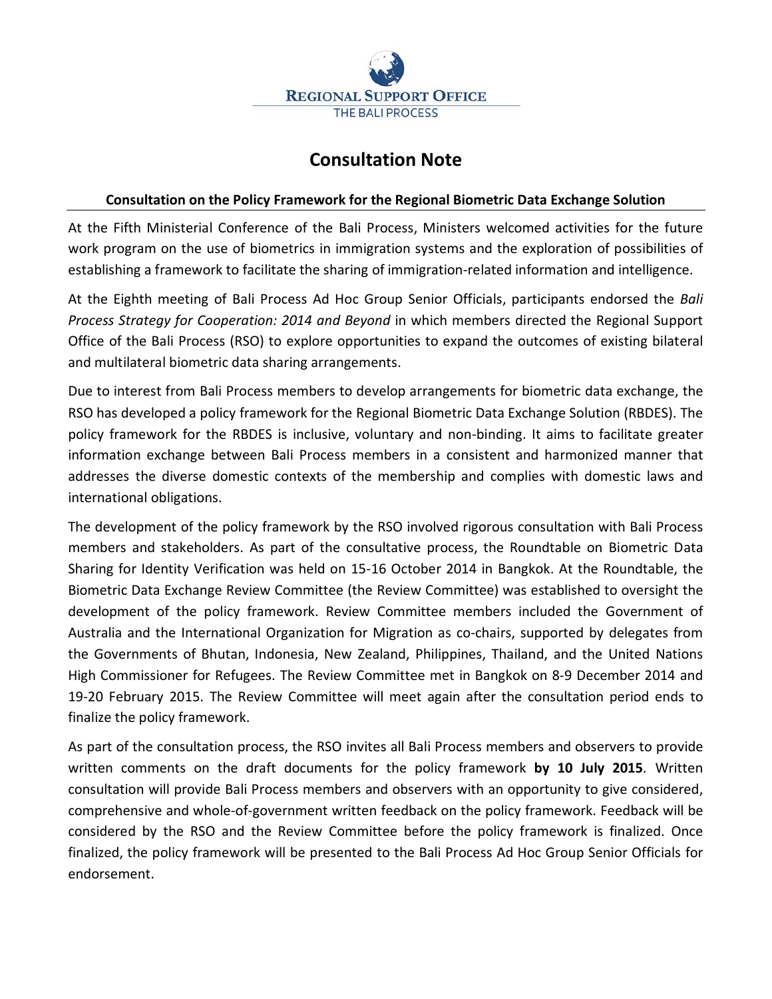

## **Consultation Note**

## **Consultation on the Policy Framework for the Regional Biometric Data Exchange Solution**

At the Fifth Ministerial Conference of the Bali Process, Ministers welcomed activities for the future work program on the use of biometrics in immigration systems and the exploration of possibilities of establishing a framework to facilitate the sharing of immigration-related information and intelligence.

At the Eighth meeting of Bali Process Ad Hoc Group Senior Officials, participants endorsed the *Bali Process Strategy for Cooperation: 2014 and Beyond* in which members directed the Regional Support Office of the Bali Process (RSO) to explore opportunities to expand the outcomes of existing bilateral and multilateral biometric data sharing arrangements.

Due to interest from Bali Process members to develop arrangements for biometric data exchange, the RSO has developed a policy framework for the Regional Biometric Data Exchange Solution (RBDES). The policy framework for the RBDES is inclusive, voluntary and non-binding. It aims to facilitate greater information exchange between Bali Process members in a consistent and harmonized manner that addresses the diverse domestic contexts of the membership and complies with domestic laws and international obligations.

The development of the policy framework by the RSO involved rigorous consultation with Bali Process members and stakeholders. As part of the consultative process, the Roundtable on Biometric Data Sharing for Identity Verification was held on 15-16 October 2014 in Bangkok. At the Roundtable, the Biometric Data Exchange Review Committee (the Review Committee) was established to oversight the development of the policy framework. Review Committee members included the Government of Australia and the International Organization for Migration as co-chairs, supported by delegates from the Governments of Bhutan, Indonesia, New Zealand, Philippines, Thailand, and the United Nations High Commissioner for Refugees. The Review Committee met in Bangkok on 8-9 December 2014 and 19-20 February 2015. The Review Committee will meet again after the consultation period ends to finalize the policy framework.

As part of the consultation process, the RSO invites all Bali Process members and observers to provide written comments on the draft documents for the policy framework **by 10 July 2015**. Written consultation will provide Bali Process members and observers with an opportunity to give considered, comprehensive and whole-of-government written feedback on the policy framework. Feedback will be considered by the RSO and the Review Committee before the policy framework is finalized. Once finalized, the policy framework will be presented to the Bali Process Ad Hoc Group Senior Officials for endorsement.